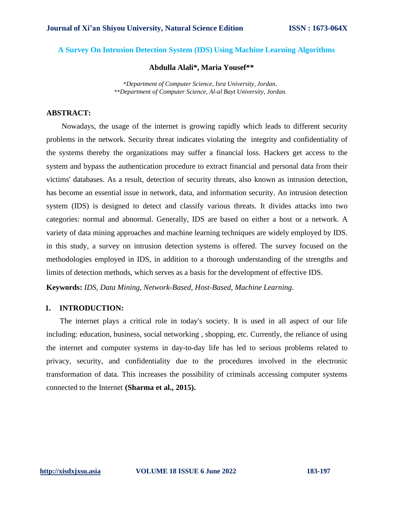# **A Survey On Intrusion Detection System (IDS) Using Machine Learning Algorithms**

# **Abdulla Alali\*, Maria Yousef\*\***

\**Department of Computer Science, Isra University, Jordan.* \*\**Department of Computer Science, Al-al Bayt University, Jordan.*

# **ABSTRACT:**

Nowadays, the usage of the internet is growing rapidly which leads to different security problems in the network. Security threat indicates violating the integrity and confidentiality of the systems thereby the organizations may suffer a financial loss. Hackers get access to the system and bypass the authentication procedure to extract financial and personal data from their victims' databases. As a result, detection of security threats, also known as intrusion detection, has become an essential issue in network, data, and information security. An intrusion detection system (IDS) is designed to detect and classify various threats. It divides attacks into two categories: normal and abnormal. Generally, IDS are based on either a host or a network. A variety of data mining approaches and machine learning techniques are widely employed by IDS. in this study, a survey on intrusion detection systems is offered. The survey focused on the methodologies employed in IDS, in addition to a thorough understanding of the strengths and limits of detection methods, which serves as a basis for the development of effective IDS.

**Keywords:** *IDS, Data Mining, Network-Based, Host-Based, Machine Learning*.

#### **1. INTRODUCTION:**

 The internet plays a critical role in today's society. It is used in all aspect of our life including: education, business, social networking , shopping, etc. Currently, the reliance of using the internet and computer systems in day-to-day life has led to serious problems related to privacy, security, and confidentiality due to the procedures involved in the electronic transformation of data. This increases the possibility of criminals accessing computer systems connected to the Internet **(Sharma et al., 2015).**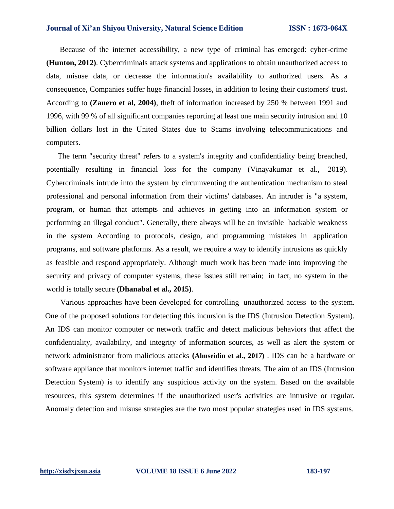Because of the internet accessibility, a new type of criminal has emerged: cyber-crime **(Hunton, 2012)**. Cybercriminals attack systems and applications to obtain unauthorized access to data, misuse data, or decrease the information's availability to authorized users. As a consequence, Companies suffer huge financial losses, in addition to losing their customers' trust. According to **(Zanero et al, 2004)**, theft of information increased by 250 % between 1991 and 1996, with 99 % of all significant companies reporting at least one main security intrusion and 10 billion dollars lost in the United States due to Scams involving telecommunications and computers.

The term "security threat" refers to a system's integrity and confidentiality being breached, potentially resulting in financial loss for the company (Vinayakumar et al., 2019). Cybercriminals intrude into the system by circumventing the authentication mechanism to steal professional and personal information from their victims' databases. An intruder is "a system, program, or human that attempts and achieves in getting into an information system or performing an illegal conduct". Generally, there always will be an invisible hackable weakness in the system According to protocols, design, and programming mistakes in application programs, and software platforms. As a result, we require a way to identify intrusions as quickly as feasible and respond appropriately. Although much work has been made into improving the security and privacy of computer systems, these issues still remain; in fact, no system in the world is totally secure **(Dhanabal et al., 2015)**.

 Various approaches have been developed for controlling unauthorized access to the system. One of the proposed solutions for detecting this incursion is the IDS (Intrusion Detection System). An IDS can monitor computer or network traffic and detect malicious behaviors that affect the confidentiality, availability, and integrity of information sources, as well as alert the system or network administrator from malicious attacks **(Almseidin et al., 2017)** . IDS can be a hardware or software appliance that monitors internet traffic and identifies threats. The aim of an IDS (Intrusion Detection System) is to identify any suspicious activity on the system. Based on the available resources, this system determines if the unauthorized user's activities are intrusive or regular. Anomaly detection and misuse strategies are the two most popular strategies used in IDS systems.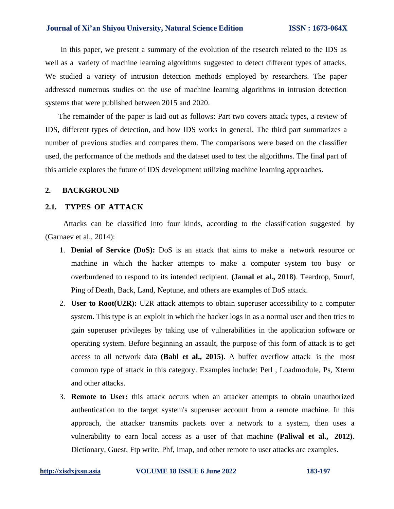In this paper, we present a summary of the evolution of the research related to the IDS as well as a variety of machine learning algorithms suggested to detect different types of attacks. We studied a variety of intrusion detection methods employed by researchers. The paper addressed numerous studies on the use of machine learning algorithms in intrusion detection systems that were published between 2015 and 2020.

The remainder of the paper is laid out as follows: Part two covers attack types, a review of IDS, different types of detection, and how IDS works in general. The third part summarizes a number of previous studies and compares them. The comparisons were based on the classifier used, the performance of the methods and the dataset used to test the algorithms. The final part of this article explores the future of IDS development utilizing machine learning approaches.

### **2. BACKGROUND**

#### **2.1. TYPES OF ATTACK**

Attacks can be classified into four kinds, according to the classification suggested by (Garnaev et al., 2014):

- 1. **Denial of Service (DoS):** DoS is an attack that aims to make a network resource or machine in which the hacker attempts to make a computer system too busy or overburdened to respond to its intended recipient. **(Jamal et al., 2018)**. Teardrop, Smurf, Ping of Death, Back, Land, Neptune, and others are examples of DoS attack.
- 2. **User to Root(U2R):** U2R attack attempts to obtain superuser accessibility to a computer system. This type is an exploit in which the hacker logs in as a normal user and then tries to gain superuser privileges by taking use of vulnerabilities in the application software or operating system. Before beginning an assault, the purpose of this form of attack is to get access to all network data **(Bahl et al., 2015)**. A buffer overflow attack is the most common type of attack in this category. Examples include: Perl , Loadmodule, Ps, Xterm and other attacks.
- 3. **Remote to User:** this attack occurs when an attacker attempts to obtain unauthorized authentication to the target system's superuser account from a remote machine. In this approach, the attacker transmits packets over a network to a system, then uses a vulnerability to earn local access as a user of that machine **(Paliwal et al., 2012)**. Dictionary, Guest, Ftp write, Phf, Imap, and other remote to user attacks are examples.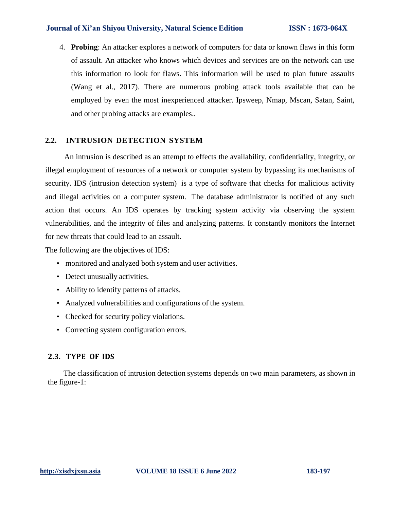4. **Probing**: An attacker explores a network of computers for data or known flaws in this form of assault. An attacker who knows which devices and services are on the network can use this information to look for flaws. This information will be used to plan future assaults (Wang et al., 2017). There are numerous probing attack tools available that can be employed by even the most inexperienced attacker. Ipsweep, Nmap, Mscan, Satan, Saint, and other probing attacks are examples..

## **2.2. INTRUSION DETECTION SYSTEM**

 An intrusion is described as an attempt to effects the availability, confidentiality, integrity, or illegal employment of resources of a network or computer system by bypassing its mechanisms of security. IDS (intrusion detection system) is a type of software that checks for malicious activity and illegal activities on a computer system. The database administrator is notified of any such action that occurs. An IDS operates by tracking system activity via observing the system vulnerabilities, and the integrity of files and analyzing patterns. It constantly monitors the Internet for new threats that could lead to an assault.

The following are the objectives of IDS:

- monitored and analyzed both system and user activities.
- Detect unusually activities.
- Ability to identify patterns of attacks.
- Analyzed vulnerabilities and configurations of the system.
- Checked for security policy violations.
- Correcting system configuration errors.

# **2.3. TYPE OF IDS**

The classification of intrusion detection systems depends on two main parameters, as shown in the figure-1: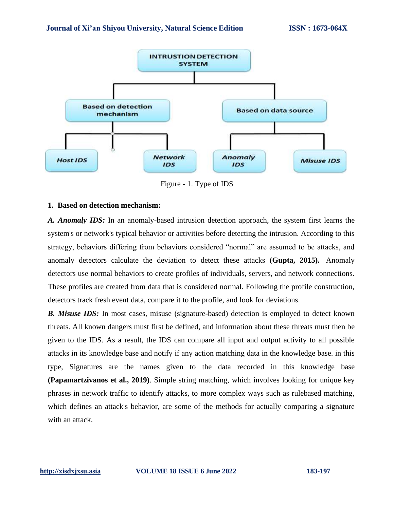

Figure - 1. Type of IDS

#### **1. Based on detection mechanism:**

*A. Anomaly IDS:* In an anomaly-based intrusion detection approach, the system first learns the system's or network's typical behavior or activities before detecting the intrusion. According to this strategy, behaviors differing from behaviors considered "normal" are assumed to be attacks, and anomaly detectors calculate the deviation to detect these attacks **(Gupta, 2015).** Anomaly detectors use normal behaviors to create profiles of individuals, servers, and network connections. These profiles are created from data that is considered normal. Following the profile construction, detectors track fresh event data, compare it to the profile, and look for deviations.

*B. Misuse IDS:* In most cases, misuse (signature-based) detection is employed to detect known threats. All known dangers must first be defined, and information about these threats must then be given to the IDS. As a result, the IDS can compare all input and output activity to all possible attacks in its knowledge base and notify if any action matching data in the knowledge base. in this type, Signatures are the names given to the data recorded in this knowledge base **(Papamartzivanos et al., 2019)**. Simple string matching, which involves looking for unique key phrases in network traffic to identify attacks, to more complex ways such as rulebased matching, which defines an attack's behavior, are some of the methods for actually comparing a signature with an attack.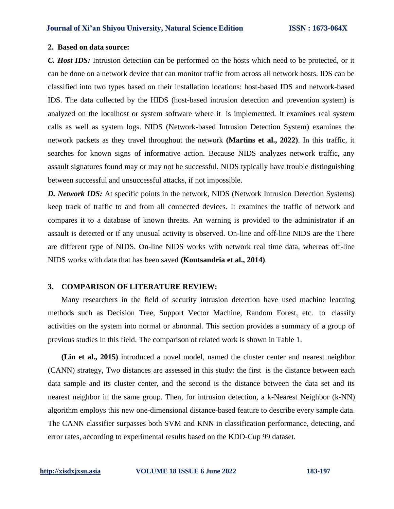#### **2. Based on data source:**

*C. Host IDS:* Intrusion detection can be performed on the hosts which need to be protected, or it can be done on a network device that can monitor traffic from across all network hosts. IDS can be classified into two types based on their installation locations: host-based IDS and network-based IDS. The data collected by the HIDS (host-based intrusion detection and prevention system) is analyzed on the localhost or system software where it is implemented. It examines real system calls as well as system logs. NIDS (Network-based Intrusion Detection System) examines the network packets as they travel throughout the network **(Martins et al., 2022)**. In this traffic, it searches for known signs of informative action. Because NIDS analyzes network traffic, any assault signatures found may or may not be successful. NIDS typically have trouble distinguishing between successful and unsuccessful attacks, if not impossible.

*D. Network IDS:* At specific points in the network, NIDS (Network Intrusion Detection Systems) keep track of traffic to and from all connected devices. It examines the traffic of network and compares it to a database of known threats. An warning is provided to the administrator if an assault is detected or if any unusual activity is observed. On-line and off-line NIDS are the There are different type of NIDS. On-line NIDS works with network real time data, whereas off-line NIDS works with data that has been saved **(Koutsandria et al., 2014)**.

#### **3. COMPARISON OF LITERATURE REVIEW:**

 Many researchers in the field of security intrusion detection have used machine learning methods such as Decision Tree, Support Vector Machine, Random Forest, etc. to classify activities on the system into normal or abnormal. This section provides a summary of a group of previous studies in this field. The comparison of related work is shown in Table 1.

 **(Lin et al., 2015)** introduced a novel model, named the cluster center and nearest neighbor (CANN) strategy, Two distances are assessed in this study: the first is the distance between each data sample and its cluster center, and the second is the distance between the data set and its nearest neighbor in the same group. Then, for intrusion detection, a k-Nearest Neighbor (k-NN) algorithm employs this new one-dimensional distance-based feature to describe every sample data. The CANN classifier surpasses both SVM and KNN in classification performance, detecting, and error rates, according to experimental results based on the KDD-Cup 99 dataset.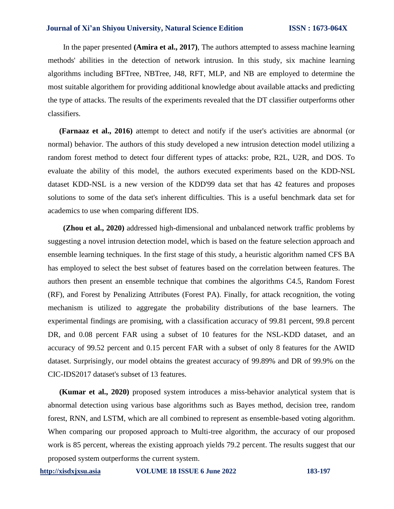In the paper presented **(Amira et al., 2017)**, The authors attempted to assess machine learning methods' abilities in the detection of network intrusion. In this study, six machine learning algorithms including BFTree, NBTree, J48, RFT, MLP, and NB are employed to determine the most suitable algorithem for providing additional knowledge about available attacks and predicting the type of attacks. The results of the experiments revealed that the DT classifier outperforms other classifiers.

**(Farnaaz et al., 2016)** attempt to detect and notify if the user's activities are abnormal (or normal) behavior. The authors of this study developed a new intrusion detection model utilizing a random forest method to detect four different types of attacks: probe, R2L, U2R, and DOS. To evaluate the ability of this model, the authors executed experiments based on the KDD-NSL dataset KDD-NSL is a new version of the KDD'99 data set that has 42 features and proposes solutions to some of the data set's inherent difficulties. This is a useful benchmark data set for academics to use when comparing different IDS.

**(Zhou et al., 2020)** addressed high-dimensional and unbalanced network traffic problems by suggesting a novel intrusion detection model, which is based on the feature selection approach and ensemble learning techniques. In the first stage of this study, a heuristic algorithm named CFS BA has employed to select the best subset of features based on the correlation between features. The authors then present an ensemble technique that combines the algorithms C4.5, Random Forest (RF), and Forest by Penalizing Attributes (Forest PA). Finally, for attack recognition, the voting mechanism is utilized to aggregate the probability distributions of the base learners. The experimental findings are promising, with a classification accuracy of 99.81 percent, 99.8 percent DR, and 0.08 percent FAR using a subset of 10 features for the NSL-KDD dataset, and an accuracy of 99.52 percent and 0.15 percent FAR with a subset of only 8 features for the AWID dataset. Surprisingly, our model obtains the greatest accuracy of 99.89% and DR of 99.9% on the CIC-IDS2017 dataset's subset of 13 features.

 **(Kumar et al., 2020)** proposed system introduces a miss-behavior analytical system that is abnormal detection using various base algorithms such as Bayes method, decision tree, random forest, RNN, and LSTM, which are all combined to represent as ensemble-based voting algorithm. When comparing our proposed approach to Multi-tree algorithm, the accuracy of our proposed work is 85 percent, whereas the existing approach yields 79.2 percent. The results suggest that our proposed system outperforms the current system.

**[http://xisdxjxsu.asia](http://xisdxjxsu.asia/) VOLUME 18 ISSUE 6 June 2022 183-197**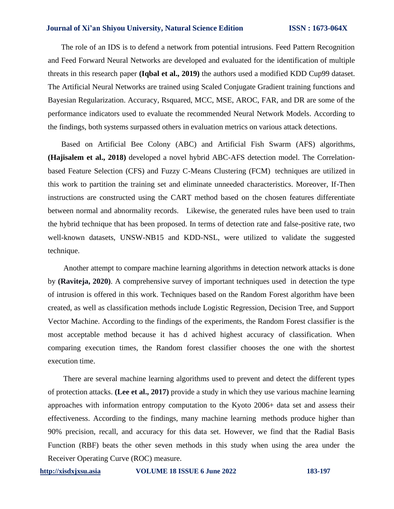The role of an IDS is to defend a network from potential intrusions. Feed Pattern Recognition and Feed Forward Neural Networks are developed and evaluated for the identification of multiple threats in this research paper **(Iqbal et al., 2019)** the authors used a modified KDD Cup99 dataset. The Artificial Neural Networks are trained using Scaled Conjugate Gradient training functions and Bayesian Regularization. Accuracy, Rsquared, MCC, MSE, AROC, FAR, and DR are some of the performance indicators used to evaluate the recommended Neural Network Models. According to the findings, both systems surpassed others in evaluation metrics on various attack detections.

Based on Artificial Bee Colony (ABC) and Artificial Fish Swarm (AFS) algorithms, **(Hajisalem et al., 2018)** developed a novel hybrid ABC-AFS detection model. The Correlationbased Feature Selection (CFS) and Fuzzy C-Means Clustering (FCM) techniques are utilized in this work to partition the training set and eliminate unneeded characteristics. Moreover, If-Then instructions are constructed using the CART method based on the chosen features differentiate between normal and abnormality records. Likewise, the generated rules have been used to train the hybrid technique that has been proposed. In terms of detection rate and false-positive rate, two well-known datasets, UNSW-NB15 and KDD-NSL, were utilized to validate the suggested technique.

Another attempt to compare machine learning algorithms in detection network attacks is done by **(Raviteja, 2020)**. A comprehensive survey of important techniques used in detection the type of intrusion is offered in this work. Techniques based on the Random Forest algorithm have been created, as well as classification methods include Logistic Regression, Decision Tree, and Support Vector Machine. According to the findings of the experiments, the Random Forest classifier is the most acceptable method because it has d achived highest accuracy of classification. When comparing execution times, the Random forest classifier chooses the one with the shortest execution time.

 There are several machine learning algorithms used to prevent and detect the different types of protection attacks. **(Lee et al., 2017)** provide a study in which they use various machine learning approaches with information entropy computation to the Kyoto 2006+ data set and assess their effectiveness. According to the findings, many machine learning methods produce higher than 90% precision, recall, and accuracy for this data set. However, we find that the Radial Basis Function (RBF) beats the other seven methods in this study when using the area under the Receiver Operating Curve (ROC) measure.

**[http://xisdxjxsu.asia](http://xisdxjxsu.asia/) VOLUME 18 ISSUE 6 June 2022 183-197**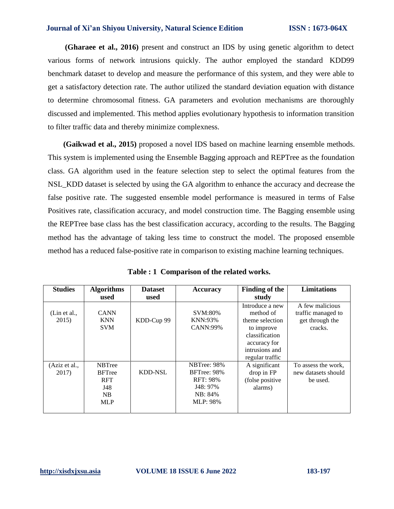**(Gharaee et al., 2016)** present and construct an IDS by using genetic algorithm to detect various forms of network intrusions quickly. The author employed the standard KDD99 benchmark dataset to develop and measure the performance of this system, and they were able to get a satisfactory detection rate. The author utilized the standard deviation equation with distance to determine chromosomal fitness. GA parameters and evolution mechanisms are thoroughly discussed and implemented. This method applies evolutionary hypothesis to information transition to filter traffic data and thereby minimize complexness.

 **(Gaikwad et al., 2015)** proposed a novel IDS based on machine learning ensemble methods. This system is implemented using the Ensemble Bagging approach and REPTree as the foundation class. GA algorithm used in the feature selection step to select the optimal features from the NSL\_KDD dataset is selected by using the GA algorithm to enhance the accuracy and decrease the false positive rate. The suggested ensemble model performance is measured in terms of False Positives rate, classification accuracy, and model construction time. The Bagging ensemble using the REPTree base class has the best classification accuracy, according to the results. The Bagging method has the advantage of taking less time to construct the model. The proposed ensemble method has a reduced false-positive rate in comparison to existing machine learning techniques.

| <b>Studies</b>         | <b>Algorithms</b><br>used                                                           | <b>Dataset</b><br>used | Accuracy                                                                         | <b>Finding of the</b><br>study                                                                                                       | <b>Limitations</b>                                                  |
|------------------------|-------------------------------------------------------------------------------------|------------------------|----------------------------------------------------------------------------------|--------------------------------------------------------------------------------------------------------------------------------------|---------------------------------------------------------------------|
| (Lin et al.,<br>2015)  | <b>CANN</b><br><b>KNN</b><br><b>SVM</b>                                             | KDD-Cup 99             | <b>SVM:80%</b><br>KNN:93%<br><b>CANN:99%</b>                                     | Introduce a new<br>method of<br>theme selection<br>to improve<br>classification<br>accuracy for<br>intrusions and<br>regular traffic | A few malicious<br>traffic managed to<br>get through the<br>cracks. |
| (Aziz et al.,<br>2017) | <b>NBTree</b><br><b>BFTree</b><br><b>RFT</b><br>J48<br>N <sub>B</sub><br><b>MLP</b> | <b>KDD-NSL</b>         | NBTree: 98%<br>BFTree: 98%<br><b>RFT: 98%</b><br>J48: 97%<br>NB: 84%<br>MLP: 98% | A significant<br>drop in FP<br>(folse positive<br>alarms)                                                                            | To assess the work,<br>new datasets should<br>be used.              |

**Table : 1 Comparison of the related works.**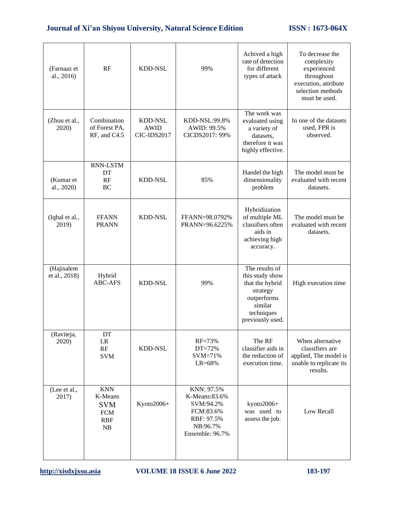| (Farnaaz et<br>al., 2016)   | RF                                                                    | <b>KDD-NSL</b>                               | 99%                                                                                                | Achived a high<br>rate of detection<br>for different<br>types of attack                                                      | To decrease the<br>complexity<br>experienced<br>throughout<br>execution, attribute<br>selection methods<br>must be used. |
|-----------------------------|-----------------------------------------------------------------------|----------------------------------------------|----------------------------------------------------------------------------------------------------|------------------------------------------------------------------------------------------------------------------------------|--------------------------------------------------------------------------------------------------------------------------|
| (Zhou et al.,<br>2020)      | Combination<br>of Forest PA,<br>RF, and C4.5                          | <b>KDD-NSL</b><br><b>AWID</b><br>CIC-IDS2017 | KDD-NSL:99.8%<br>AWID: 99.5%<br>CICDS2017: 99%                                                     | The work was<br>evaluated using<br>a variety of<br>datasets,<br>therefore it was<br>highly effective.                        | In one of the datasets<br>used, FPR is<br>observed.                                                                      |
| (Kumar et<br>al., 2020)     | <b>RNN-LSTM</b><br>DT<br>RF<br>BC                                     | <b>KDD-NSL</b>                               | 85%                                                                                                | Handel the high<br>dimensionality<br>problem                                                                                 | The model must be<br>evaluated with recent<br>datasets.                                                                  |
| (Iqbal et al.,<br>2019)     | <b>FFANN</b><br><b>PRANN</b>                                          | <b>KDD-NSL</b>                               | FFANN=98.0792%<br>PRANN=96.6225%                                                                   | Hybridization<br>of multiple ML<br>classifiers often<br>aids in<br>achieving high<br>accuracy.                               | The model must be<br>evaluated with recent<br>datasets.                                                                  |
| (Hajisalem<br>et al., 2018) | Hybrid<br><b>ABC-AFS</b>                                              | <b>KDD-NSL</b>                               | 99%                                                                                                | The results of<br>this study show<br>that the hybrid<br>strategy<br>outperforms<br>similar<br>techniques<br>previously used. | High execution time                                                                                                      |
| (Raviteja,<br>2020)         | DT<br>LR<br>RF<br><b>SVM</b>                                          | KDD-NSL                                      | RF=73%<br>DT=72%<br>SVM=71%<br>LR=68%                                                              | The RF<br>classifier aids in<br>the reduction of<br>execution time.                                                          | When alternative<br>classifiers are<br>applied, The model is<br>unable to replicate its<br>results.                      |
| (Lee et al.,<br>2017)       | <b>KNN</b><br>K-Means<br><b>SVM</b><br><b>FCM</b><br><b>RBF</b><br>NB | Kyoto2006+                                   | KNN: 97.5%<br>K-Means:83.6%<br>SVM:94.2%<br>FCM:83.6%<br>RBF: 97.5%<br>NB:96.7%<br>Ensemble: 96.7% | kyoto2006+<br>was used to<br>assess the job.                                                                                 | Low Recall                                                                                                               |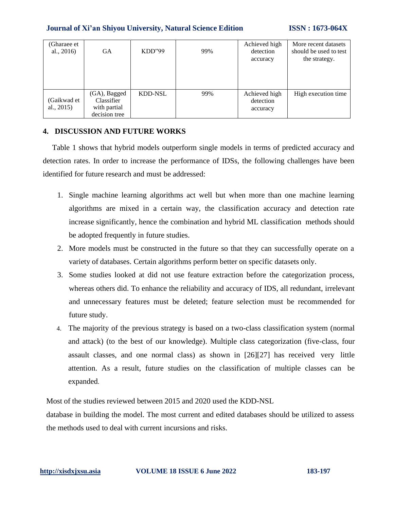| (Gharaee et<br>al., $2016$   | <b>GA</b>                                                   | KDD''99        | 99% | Achieved high<br>detection<br>accuracy | More recent datasets<br>should be used to test<br>the strategy. |
|------------------------------|-------------------------------------------------------------|----------------|-----|----------------------------------------|-----------------------------------------------------------------|
| (Gaikwad et<br>al., $2015$ ) | (GA), Bagged<br>Classifier<br>with partial<br>decision tree | <b>KDD-NSL</b> | 99% | Achieved high<br>detection<br>accuracy | High execution time                                             |

# **4. DISCUSSION AND FUTURE WORKS**

Table 1 shows that hybrid models outperform single models in terms of predicted accuracy and detection rates. In order to increase the performance of IDSs, the following challenges have been identified for future research and must be addressed:

- 1. Single machine learning algorithms act well but when more than one machine learning algorithms are mixed in a certain way, the classification accuracy and detection rate increase significantly, hence the combination and hybrid ML classification methods should be adopted frequently in future studies.
- 2. More models must be constructed in the future so that they can successfully operate on a variety of databases. Certain algorithms perform better on specific datasets only.
- 3. Some studies looked at did not use feature extraction before the categorization process, whereas others did. To enhance the reliability and accuracy of IDS, all redundant, irrelevant and unnecessary features must be deleted; feature selection must be recommended for future study.
- 4. The majority of the previous strategy is based on a two-class classification system (normal and attack) (to the best of our knowledge). Multiple class categorization (five-class, four assault classes, and one normal class) as shown in [26][27] has received very little attention. As a result, future studies on the classification of multiple classes can be expanded.

Most of the studies reviewed between 2015 and 2020 used the KDD-NSL

database in building the model. The most current and edited databases should be utilized to assess the methods used to deal with current incursions and risks.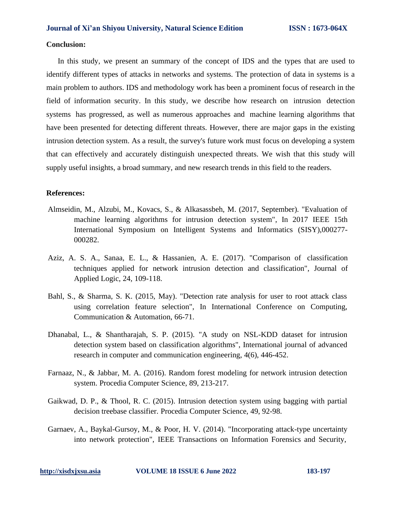#### **Conclusion:**

In this study, we present an summary of the concept of IDS and the types that are used to identify different types of attacks in networks and systems. The protection of data in systems is a main problem to authors. IDS and methodology work has been a prominent focus of research in the field of information security. In this study, we describe how research on intrusion detection systems has progressed, as well as numerous approaches and machine learning algorithms that have been presented for detecting different threats. However, there are major gaps in the existing intrusion detection system. As a result, the survey's future work must focus on developing a system that can effectively and accurately distinguish unexpected threats. We wish that this study will supply useful insights, a broad summary, and new research trends in this field to the readers.

#### **References:**

- Almseidin, M., Alzubi, M., Kovacs, S., & Alkasassbeh, M. (2017, September). "Evaluation of machine learning algorithms for intrusion detection system", In 2017 IEEE 15th International Symposium on Intelligent Systems and Informatics (SISY),000277- 000282.
- Aziz, A. S. A., Sanaa, E. L., & Hassanien, A. E. (2017). "Comparison of classification techniques applied for network intrusion detection and classification", Journal of Applied Logic, 24, 109-118.
- Bahl, S., & Sharma, S. K. (2015, May). "Detection rate analysis for user to root attack class using correlation feature selection", In International Conference on Computing, Communication & Automation, 66-71.
- Dhanabal, L., & Shantharajah, S. P. (2015). "A study on NSL-KDD dataset for intrusion detection system based on classification algorithms", International journal of advanced research in computer and communication engineering, 4(6), 446-452.
- Farnaaz, N., & Jabbar, M. A. (2016). Random forest modeling for network intrusion detection system. Procedia Computer Science, 89, 213-217.
- Gaikwad, D. P., & Thool, R. C. (2015). Intrusion detection system using bagging with partial decision treebase classifier. Procedia Computer Science, 49, 92-98.
- Garnaev, A., Baykal-Gursoy, M., & Poor, H. V. (2014). "Incorporating attack-type uncertainty into network protection", IEEE Transactions on Information Forensics and Security,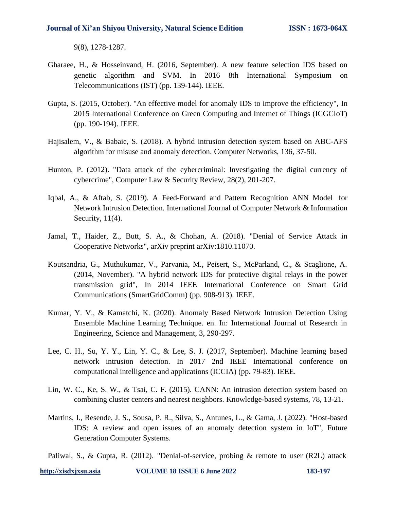9(8), 1278-1287.

- Gharaee, H., & Hosseinvand, H. (2016, September). A new feature selection IDS based on genetic algorithm and SVM. In 2016 8th International Symposium on Telecommunications (IST) (pp. 139-144). IEEE.
- Gupta, S. (2015, October). "An effective model for anomaly IDS to improve the efficiency", In 2015 International Conference on Green Computing and Internet of Things (ICGCIoT) (pp. 190-194). IEEE.
- Hajisalem, V., & Babaie, S. (2018). A hybrid intrusion detection system based on ABC-AFS algorithm for misuse and anomaly detection. Computer Networks, 136, 37-50.
- Hunton, P. (2012). "Data attack of the cybercriminal: Investigating the digital currency of cybercrime", Computer Law & Security Review, 28(2), 201-207.
- Iqbal, A., & Aftab, S. (2019). A Feed-Forward and Pattern Recognition ANN Model for Network Intrusion Detection. International Journal of Computer Network & Information Security,  $11(4)$ .
- Jamal, T., Haider, Z., Butt, S. A., & Chohan, A. (2018). "Denial of Service Attack in Cooperative Networks", arXiv preprint arXiv:1810.11070.
- Koutsandria, G., Muthukumar, V., Parvania, M., Peisert, S., McParland, C., & Scaglione, A. (2014, November). "A hybrid network IDS for protective digital relays in the power transmission grid", In 2014 IEEE International Conference on Smart Grid Communications (SmartGridComm) (pp. 908-913). IEEE.
- Kumar, Y. V., & Kamatchi, K. (2020). Anomaly Based Network Intrusion Detection Using Ensemble Machine Learning Technique. en. In: International Journal of Research in Engineering, Science and Management, 3, 290-297.
- Lee, C. H., Su, Y. Y., Lin, Y. C., & Lee, S. J. (2017, September). Machine learning based network intrusion detection. In 2017 2nd IEEE International conference on computational intelligence and applications (ICCIA) (pp. 79-83). IEEE.
- Lin, W. C., Ke, S. W., & Tsai, C. F. (2015). CANN: An intrusion detection system based on combining cluster centers and nearest neighbors. Knowledge-based systems, 78, 13-21.
- Martins, I., Resende, J. S., Sousa, P. R., Silva, S., Antunes, L., & Gama, J. (2022). "Host-based IDS: A review and open issues of an anomaly detection system in IoT", Future Generation Computer Systems.

Paliwal, S., & Gupta, R. (2012). "Denial-of-service, probing & remote to user (R2L) attack

**[http://xisdxjxsu.asia](http://xisdxjxsu.asia/) VOLUME 18 ISSUE 6 June 2022 183-197**